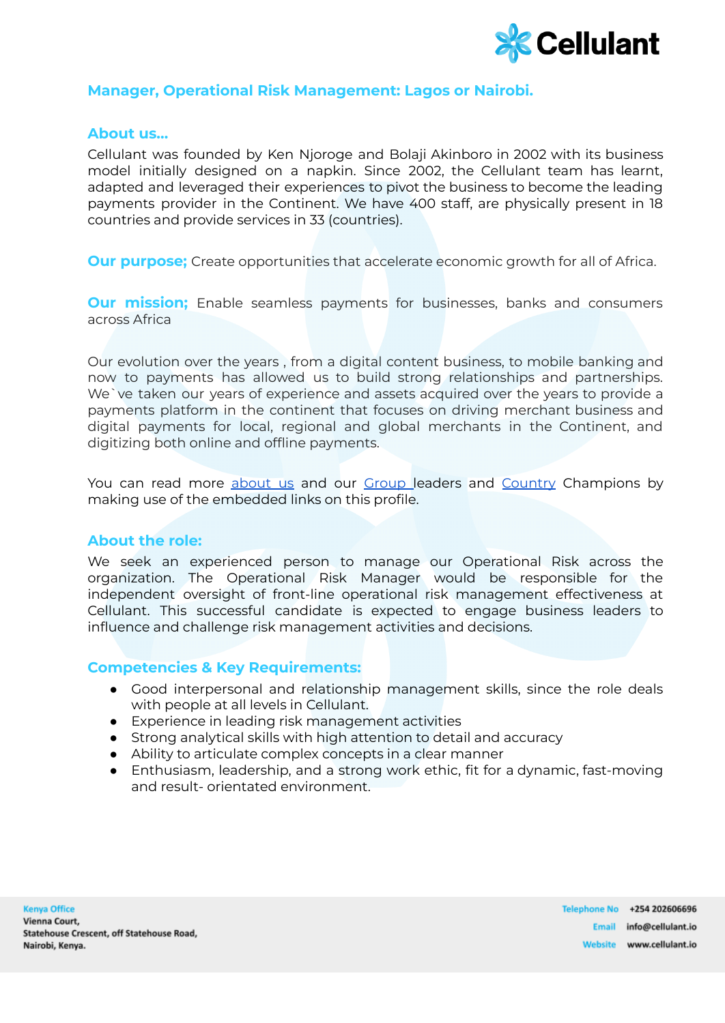

# **Manager, Operational Risk Management: Lagos or Nairobi.**

### **About us…**

Cellulant was founded by Ken Njoroge and Bolaji Akinboro in 2002 with its business model initially designed on a napkin. Since 2002, the Cellulant team has learnt, adapted and leveraged their experiences to pivot the business to become the leading payments provider in the Continent. We have 400 staff, are physically present in 18 countries and provide services in 33 (countries).

**Our purpose;** Create opportunities that accelerate economic growth for all of Africa.

**Our mission;** Enable seamless payments for businesses, banks and consumers across Africa

Our evolution over the years , from a digital content business, to mobile banking and now to payments has allowed us to build strong relationships and partnerships. We`ve taken our years of experience and assets acquired over the years to provide a payments platform in the continent that focuses on driving merchant business and digital payments for local, regional and global merchants in the Continent, and digitizing both online and offline payments.

You can read more [about](https://cellulant.io/) us and our [Group](https://cellulant.io/our-people/) leaders and [Country](https://cellulant.io/our-people/) Champions by making use of the embedded links on this profile.

#### **About the role:**

We seek an experienced person to manage our Operational Risk across the organization. The Operational Risk Manager would be responsible for the independent oversight of front-line operational risk management effectiveness at Cellulant. This successful candidate is expected to engage business leaders to influence and challenge risk management activities and decisions.

## **Competencies & Key Requirements:**

- Good interpersonal and relationship management skills, since the role deals with people at all levels in Cellulant.
- Experience in leading risk management activities
- Strong analytical skills with high attention to detail and accuracy
- Ability to articulate complex concepts in a clear manner
- Enthusiasm, leadership, and a strong work ethic, fit for a dynamic, fast-moving and result- orientated environment.